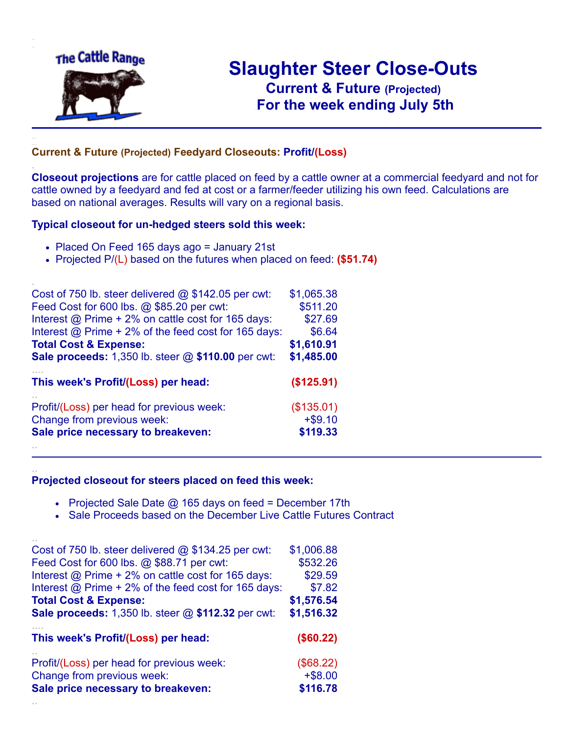

.

..

# **Slaughter Steer Close-Outs Current & Future (Projected)** .**For the week ending July 5th**

#### **Current & Future (Projected) Feedyard Closeouts: Profit/(Loss)**

**Closeout projections** are for cattle placed on feed by a cattle owner at a commercial feedyard and not for cattle owned by a feedyard and fed at cost or a farmer/feeder utilizing his own feed. Calculations are based on national averages. Results will vary on a regional basis.

#### **Typical closeout for un-hedged steers sold this week:**

- Placed On Feed 165 days ago = January 21st
- Projected P/(L) based on the futures when placed on feed: **(\$51.74)**

| Cost of 750 lb. steer delivered $@$ \$142.05 per cwt:       | \$1,065.38 |
|-------------------------------------------------------------|------------|
| Feed Cost for 600 lbs. @ \$85.20 per cwt:                   | \$511.20   |
| Interest @ Prime + 2% on cattle cost for 165 days:          | \$27.69    |
| Interest $@$ Prime + 2% of the feed cost for 165 days:      | \$6.64     |
| <b>Total Cost &amp; Expense:</b>                            | \$1,610.91 |
| <b>Sale proceeds:</b> 1,350 lb. steer $@$ \$110.00 per cwt: | \$1,485.00 |
| This week's Profit/(Loss) per head:                         | (\$125.91) |
| Profit/(Loss) per head for previous week:                   | (\$135.01) |
| Change from previous week:                                  | $+ $9.10$  |
| Sale price necessary to breakeven:                          | \$119.33   |
|                                                             |            |

#### **Projected closeout for steers placed on feed this week:**

- Projected Sale Date  $@$  165 days on feed = December 17th
- Sale Proceeds based on the December Live Cattle Futures Contract

| Cost of 750 lb. steer delivered $@$ \$134.25 per cwt:  | \$1,006.88 |
|--------------------------------------------------------|------------|
| Feed Cost for 600 lbs. @ \$88.71 per cwt:              | \$532.26   |
| Interest @ Prime + 2% on cattle cost for 165 days:     | \$29.59    |
| Interest $@$ Prime + 2% of the feed cost for 165 days: | \$7.82     |
| <b>Total Cost &amp; Expense:</b>                       | \$1,576.54 |
| Sale proceeds: 1,350 lb. steer @ \$112.32 per cwt:     | \$1,516.32 |
| This week's Profit/(Loss) per head:                    | (\$60.22)  |
| Profit/(Loss) per head for previous week:              | (\$68.22)  |
| Change from previous week:                             | $+ $8.00$  |
| Sale price necessary to breakeven:                     | \$116.78   |